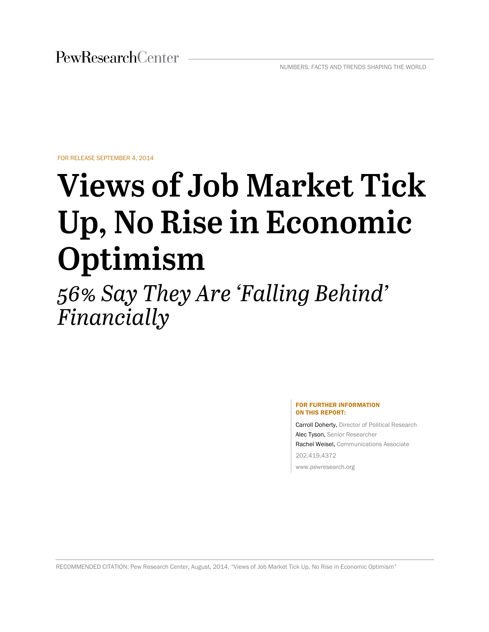FOR RELEASE SEPTEMBER 4, 2014

# **Views of Job Market Tick** Up, No Rise in Economic Optimism

56% Say They Are 'Falling Behind' Financially

#### FOR FURTHER INFORMATION ON THIS REPORT:

Carroll Doherty, Director of Political Research Alec Tyson, Senior Researcher Rachel Weisel, Communications Associate 202.419.4372 www.pewresearch.org

RECOMMENDED CITATION: Pew Research Center, August, 2014, "Views of Job Market Tick Up, No Rise in Economic Optimism"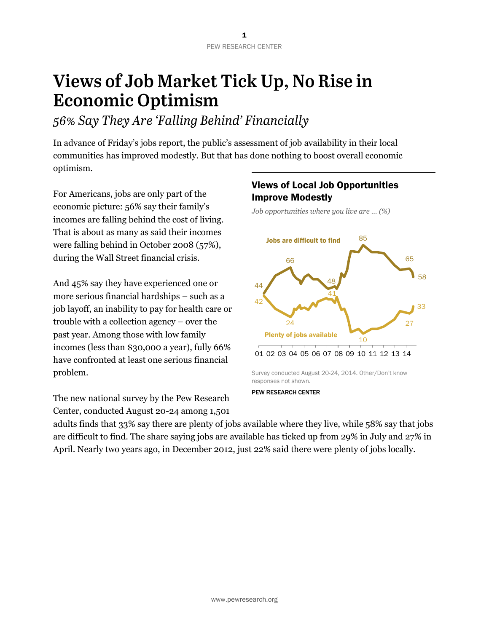## Views of Job Market Tick Up, No Rise in **Economic Optimism**

## 56% Say They Are 'Falling Behind' Financially

In advance of Friday's jobs report, the public's assessment of job availability in their local communities has improved modestly. But that has done nothing to boost overall economic optimism.

For Americans, jobs are only part of the economic picture: 56% say their family's incomes are falling behind the cost of living. That is about as many as said their incomes were falling behind in October 2008 (57%), during the Wall Street financial crisis.

And 45% say they have experienced one or more serious financial hardships – such as a job layoff, an inability to pay for health care or trouble with a collection agency – over the past year. Among those with low family incomes (less than \$30,000 a year), fully 66% have confronted at least one serious financial problem.

The new national survey by the Pew Research Center, conducted August 20-24 among 1,501

## Views of Local Job Opportunities Improve Modestly

*Job opportunities where you live are … (%)*



adults finds that 33% say there are plenty of jobs available where they live, while 58% say that jobs are difficult to find. The share saying jobs are available has ticked up from 29% in July and 27% in April. Nearly two years ago, in December 2012, just 22% said there were plenty of jobs locally.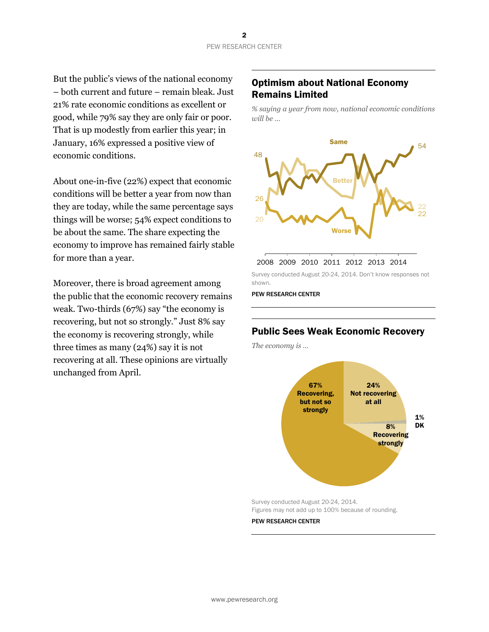But the public's views of the national economy – both current and future – remain bleak. Just 21% rate economic conditions as excellent or good, while 79% say they are only fair or poor. That is up modestly from earlier this year; in January, 16% expressed a positive view of economic conditions.

About one-in-five (22%) expect that economic conditions will be better a year from now than they are today, while the same percentage says things will be worse; 54% expect conditions to be about the same. The share expecting the economy to improve has remained fairly stable for more than a year.

Moreover, there is broad agreement among the public that the economic recovery remains weak. Two-thirds (67%) say "the economy is recovering, but not so strongly." Just 8% say the economy is recovering strongly, while three times as many (24%) say it is not recovering at all. These opinions are virtually unchanged from April.

## Optimism about National Economy Remains Limited

*% saying a year from now, national economic conditions will be …*



| 2008 2009 2010 2011 2012 2013 2014 |  |  |  |
|------------------------------------|--|--|--|
|                                    |  |  |  |

Survey conducted August 20-24, 2014. Don't know responses not shown.

PEW RESEARCH CENTER

## Public Sees Weak Economic Recovery

*The economy is …*



Survey conducted August 20-24, 2014. Figures may not add up to 100% because of rounding.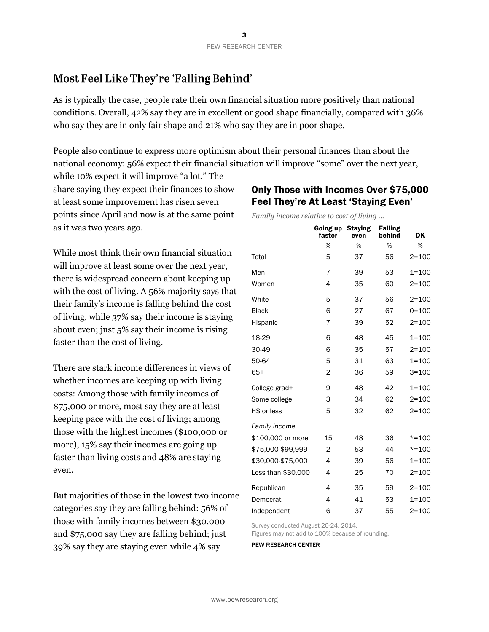## Most Feel Like They're 'Falling Behind'

As is typically the case, people rate their own financial situation more positively than national conditions. Overall, 42% say they are in excellent or good shape financially, compared with 36% who say they are in only fair shape and 21% who say they are in poor shape.

People also continue to express more optimism about their personal finances than about the national economy: 56% expect their financial situation will improve "some" over the next year,

while 10% expect it will improve "a lot." The share saying they expect their finances to show at least some improvement has risen seven points since April and now is at the same point as it was two years ago.

While most think their own financial situation will improve at least some over the next year, there is widespread concern about keeping up with the cost of living. A 56% majority says that their family's income is falling behind the cost of living, while 37% say their income is staying about even; just 5% say their income is rising faster than the cost of living.

There are stark income differences in views of whether incomes are keeping up with living costs: Among those with family incomes of \$75,000 or more, most say they are at least keeping pace with the cost of living; among those with the highest incomes (\$100,000 or more), 15% say their incomes are going up faster than living costs and 48% are staying even.

But majorities of those in the lowest two income categories say they are falling behind: 56% of those with family incomes between \$30,000 and \$75,000 say they are falling behind; just 39% say they are staying even while 4% say

## Only Those with Incomes Over \$75,000 Feel They're At Least 'Staying Even'

*Family income relative to cost of living …*

|                    | Going up<br>faster | <b>Staying</b><br>even | <b>Falling</b><br>behind | DK        |
|--------------------|--------------------|------------------------|--------------------------|-----------|
|                    | %                  | %                      | %                        | %         |
| Total              | 5                  | 37                     | 56                       | $2 = 100$ |
| Men                | $\overline{7}$     | 39                     | 53                       | $1 = 100$ |
| Women              | 4                  | 35                     | 60                       | $2 = 100$ |
| White              | 5                  | 37                     | 56                       | $2 = 100$ |
| Black              | 6                  | 27                     | 67                       | $0 = 100$ |
| Hispanic           | 7                  | 39                     | 52                       | $2 = 100$ |
| 18-29              | 6                  | 48                     | 45                       | $1 = 100$ |
| 30-49              | 6                  | 35                     | 57                       | $2 = 100$ |
| 50-64              | 5                  | 31                     | 63                       | $1 = 100$ |
| 65+                | $\overline{2}$     | 36                     | 59                       | $3 = 100$ |
| College grad+      | 9                  | 48                     | 42                       | $1 = 100$ |
| Some college       | 3                  | 34                     | 62                       | $2 = 100$ |
| HS or less         | 5                  | 32                     | 62                       | $2 = 100$ |
| Family income      |                    |                        |                          |           |
| \$100,000 or more  | 15                 | 48                     | 36                       | $* = 100$ |
| \$75,000-\$99,999  | $\overline{2}$     | 53                     | 44                       | $* = 100$ |
| \$30,000-\$75,000  | 4                  | 39                     | 56                       | $1 = 100$ |
| Less than \$30,000 | 4                  | 25                     | 70                       | $2 = 100$ |
| Republican         | 4                  | 35                     | 59                       | $2 = 100$ |
| Democrat           | 4                  | 41                     | 53                       | $1 = 100$ |
| Independent        | 6                  | 37                     | 55                       | $2 = 100$ |

Survey conducted August 20-24, 2014.

Figures may not add to 100% because of rounding.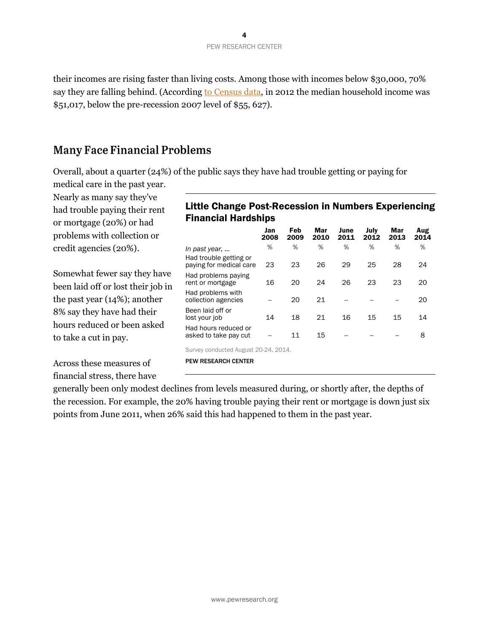their incomes are rising faster than living costs. Among those with incomes below \$30,000, 70% say they are falling behind. (Accordin[g to Census data,](http://www.pewresearch.org/fact-tank/2013/09/18/four-takeaways-from-tuesdays-census-income-and-poverty-release/) in 2012 the median household income was \$51,017, below the pre-recession 2007 level of \$55, 627).

## **Many Face Financial Problems**

Overall, about a quarter (24%) of the public says they have had trouble getting or paying for

medical care in the past year. Nearly as many say they've had trouble paying their rent or mortgage (20%) or had problems with collection or credit agencies (20%).

Somewhat fewer say they have been laid off or lost their job in the past year (14%); another 8% say they have had their hours reduced or been asked to take a cut in pay.

Across these measures of financial stress, there have

## Little Change Post-Recession in Numbers Experiencing Financial Hardships

|                                                   | Jan<br>2008 | Feb<br>2009 | Mar<br>2010 | June<br>2011 | July<br>2012 | Mar<br>2013 | Aug<br>2014 |
|---------------------------------------------------|-------------|-------------|-------------|--------------|--------------|-------------|-------------|
| In past year,                                     | %           | %           | %           | %            | %            | %           | %           |
| Had trouble getting or<br>paying for medical care | 23          | 23          | 26          | 29           | 25           | 28          | 24          |
| Had problems paying<br>rent or mortgage           | 16          | 20          | 24          | 26           | 23           | 23          | 20          |
| Had problems with<br>collection agencies          |             | 20          | 21          |              |              |             | 20          |
| Been laid off or<br>lost your job                 | 14          | 18          | 21          | 16           | 15           | 15          | 14          |
| Had hours reduced or<br>asked to take pay cut     |             | 11          | 15          |              |              |             | 8           |
|                                                   |             |             |             |              |              |             |             |

Survey conducted August 20-24, 2014.

PEW RESEARCH CENTER

generally been only modest declines from levels measured during, or shortly after, the depths of the recession. For example, the 20% having trouble paying their rent or mortgage is down just six points from June 2011, when 26% said this had happened to them in the past year.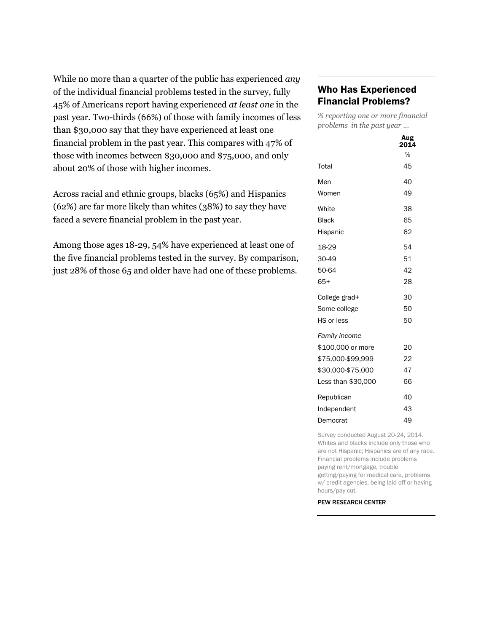While no more than a quarter of the public has experienced *any* of the individual financial problems tested in the survey, fully 45% of Americans report having experienced *at least one* in the past year. Two-thirds (66%) of those with family incomes of less than \$30,000 say that they have experienced at least one financial problem in the past year. This compares with 47% of those with incomes between \$30,000 and \$75,000, and only about 20% of those with higher incomes.

Across racial and ethnic groups, blacks (65%) and Hispanics (62%) are far more likely than whites (38%) to say they have faced a severe financial problem in the past year.

Among those ages 18-29, 54% have experienced at least one of the five financial problems tested in the survey. By comparison, just 28% of those 65 and older have had one of these problems.

## Who Has Experienced Financial Problems?

*% reporting one or more financial problems in the past year …*

|                    | Aug<br>2014 |
|--------------------|-------------|
|                    | %           |
| Total              | 45          |
| Men                | 40          |
| Women              | 49          |
| White              | 38          |
| <b>Black</b>       | 65          |
| Hispanic           | 62          |
| 18-29              | 54          |
| 30-49              | 51          |
| 50-64              | 42          |
| $65+$              | 28          |
| College grad+      | 30          |
| Some college       | 50          |
| HS or less         | 50          |
| Family income      |             |
| \$100,000 or more  | 20          |
| \$75,000-\$99,999  | 22          |
| \$30,000-\$75,000  | 47          |
| Less than \$30,000 | 66          |
| Republican         | 40          |
| Independent        | 43          |
| Democrat           | 49          |

Survey conducted August 20-24, 2014. Whites and blacks include only those who are not Hispanic; Hispanics are of any race. Financial problems include problems paying rent/mortgage, trouble getting/paying for medical care, problems w/ credit agencies, being laid off or having hours/pay cut.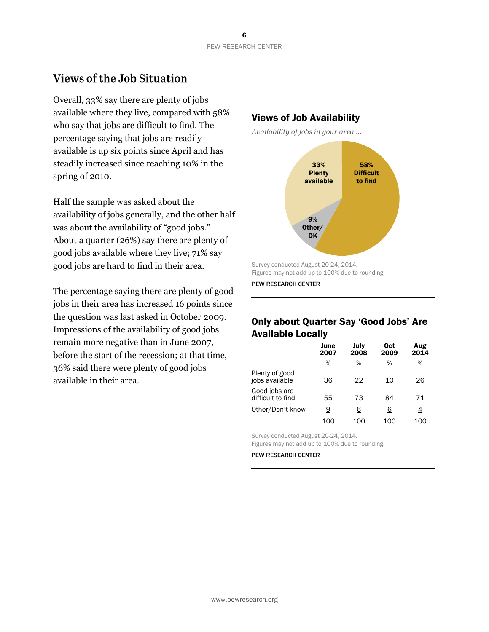## **Views of the Job Situation**

Overall, 33% say there are plenty of jobs available where they live, compared with 58% who say that jobs are difficult to find. The percentage saying that jobs are readily available is up six points since April and has steadily increased since reaching 10% in the spring of 2010.

Half the sample was asked about the availability of jobs generally, and the other half was about the availability of "good jobs." About a quarter (26%) say there are plenty of good jobs available where they live; 71% say good jobs are hard to find in their area.

The percentage saying there are plenty of good jobs in their area has increased 16 points since the question was last asked in October 2009. Impressions of the availability of good jobs remain more negative than in June 2007, before the start of the recession; at that time, 36% said there were plenty of good jobs available in their area.

## Views of Job Availability

*Availability of jobs in your area …*



Survey conducted August 20-24, 2014. Figures may not add up to 100% due to rounding.

PEW RESEARCH CENTER

## Only about Quarter Say 'Good Jobs' Are Available Locally

|                                    | June<br>2007 | July<br>2008 | 0ct<br>2009 | Aug<br>2014 |
|------------------------------------|--------------|--------------|-------------|-------------|
|                                    | %            | %            | %           | %           |
| Plenty of good<br>jobs available   | 36           | 22           | 10          | 26          |
| Good jobs are<br>difficult to find | 55           | 73           | 84          | 71          |
| Other/Don't know                   | <u>9</u>     | <u>6</u>     | <u>6</u>    | <u>4</u>    |
|                                    | 100          | 100          | 100         | 100         |

Survey conducted August 20-24, 2014.

Figures may not add up to 100% due to rounding.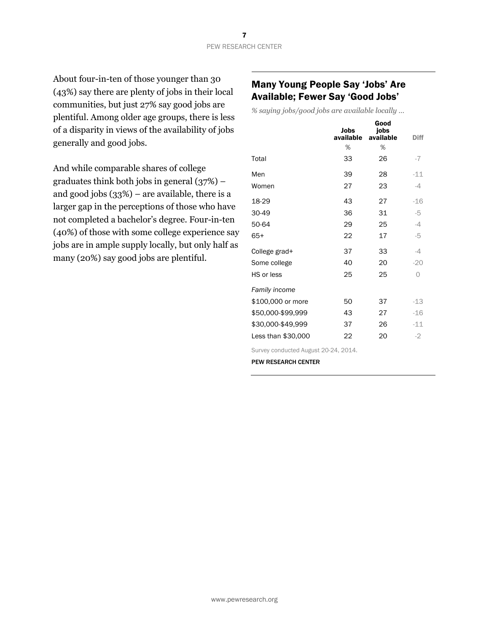About four-in-ten of those younger than 30 (43%) say there are plenty of jobs in their local communities, but just 27% say good jobs are plentiful. Among older age groups, there is less of a disparity in views of the availability of jobs generally and good jobs.

And while comparable shares of college graduates think both jobs in general (37%) – and good jobs (33%) – are available, there is a larger gap in the perceptions of those who have not completed a bachelor's degree. Four-in-ten (40%) of those with some college experience say jobs are in ample supply locally, but only half as many (20%) say good jobs are plentiful.

## Many Young People Say 'Jobs' Are Available; Fewer Say 'Good Jobs'

*% saying jobs/good jobs are available locally …*

|                      | Jobs<br>available | Good<br>jobs<br>available | <b>Diff</b> |
|----------------------|-------------------|---------------------------|-------------|
|                      | %                 | %                         |             |
| Total                | 33                | 26                        | $-7$        |
| Men                  | 39                | 28                        | $-11$       |
| Women                | 27                | 23                        | $-4$        |
| 18-29                | 43                | 27                        | $-16$       |
| 30-49                | 36                | 31                        | $-5$        |
| 50-64                | 29                | 25                        | $-4$        |
| $65+$                | 22                | 17                        | -5          |
| College grad+        | 37                | 33                        | $-4$        |
| Some college         | 40                | 20                        | $-20$       |
| HS or less           | 25                | 25                        | $\Omega$    |
| <b>Family income</b> |                   |                           |             |
| \$100,000 or more    | 50                | 37                        | $-13$       |
| \$50,000-\$99,999    | 43                | 27                        | $-16$       |
| \$30,000-\$49,999    | 37                | 26                        | $-11$       |
| Less than \$30,000   | 22                | 20                        | $-2$        |

Survey conducted August 20-24, 2014.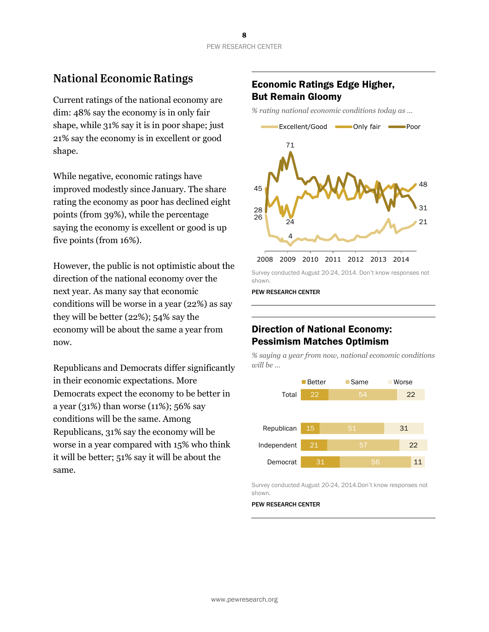## **National Economic Ratings**

Current ratings of the national economy are dim: 48% say the economy is in only fair shape, while 31% say it is in poor shape; just 21% say the economy is in excellent or good shape.

While negative, economic ratings have improved modestly since January. The share rating the economy as poor has declined eight points (from 39%), while the percentage saying the economy is excellent or good is up five points (from 16%).

However, the public is not optimistic about the direction of the national economy over the next year. As many say that economic conditions will be worse in a year (22%) as say they will be better (22%); 54% say the economy will be about the same a year from now.

Republicans and Democrats differ significantly in their economic expectations. More Democrats expect the economy to be better in a year (31%) than worse (11%); 56% say conditions will be the same. Among Republicans, 31% say the economy will be worse in a year compared with 15% who think it will be better; 51% say it will be about the same.

## Economic Ratings Edge Higher, But Remain Gloomy

*% rating national economic conditions today as …* 



Survey conducted August 20-24, 2014. Don't know responses not shown.

PEW RESEARCH CENTER

## Direction of National Economy: Pessimism Matches Optimism

*% saying a year from now, national economic conditions will be …* 



Survey conducted August 20-24, 2014.Don't know responses not shown.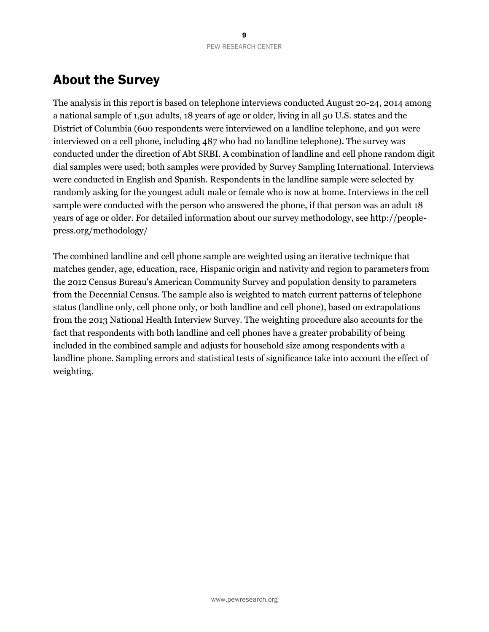## About the Survey

The analysis in this report is based on telephone interviews conducted August 20-24, 2014 among a national sample of 1,501 adults, 18 years of age or older, living in all 50 U.S. states and the District of Columbia (600 respondents were interviewed on a landline telephone, and 901 were interviewed on a cell phone, including 487 who had no landline telephone). The survey was conducted under the direction of Abt SRBI. A combination of landline and cell phone random digit dial samples were used; both samples were provided by Survey Sampling International. Interviews were conducted in English and Spanish. Respondents in the landline sample were selected by randomly asking for the youngest adult male or female who is now at home. Interviews in the cell sample were conducted with the person who answered the phone, if that person was an adult 18 years of age or older. For detailed information about our survey methodology, see http://peoplepress.org/methodology/

The combined landline and cell phone sample are weighted using an iterative technique that matches gender, age, education, race, Hispanic origin and nativity and region to parameters from the 2012 Census Bureau's American Community Survey and population density to parameters from the Decennial Census. The sample also is weighted to match current patterns of telephone status (landline only, cell phone only, or both landline and cell phone), based on extrapolations from the 2013 National Health Interview Survey. The weighting procedure also accounts for the fact that respondents with both landline and cell phones have a greater probability of being included in the combined sample and adjusts for household size among respondents with a landline phone. Sampling errors and statistical tests of significance take into account the effect of weighting.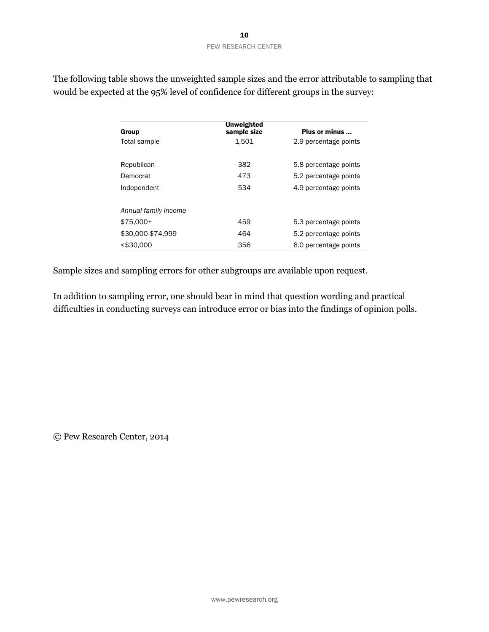| Group                | <b>Unweighted</b><br>sample size | Plus or minus         |
|----------------------|----------------------------------|-----------------------|
| Total sample         | 1.501                            | 2.9 percentage points |
| Republican           | 382                              | 5.8 percentage points |
| Democrat             | 473                              | 5.2 percentage points |
| Independent          | 534                              | 4.9 percentage points |
| Annual family income |                                  |                       |
| $$75.000+$           | 459                              | 5.3 percentage points |
| \$30,000-\$74,999    | 464                              | 5.2 percentage points |
| $<$ \$30,000         | 356                              | 6.0 percentage points |

The following table shows the unweighted sample sizes and the error attributable to sampling that would be expected at the 95% level of confidence for different groups in the survey:

Sample sizes and sampling errors for other subgroups are available upon request.

In addition to sampling error, one should bear in mind that question wording and practical difficulties in conducting surveys can introduce error or bias into the findings of opinion polls.

© Pew Research Center, 2014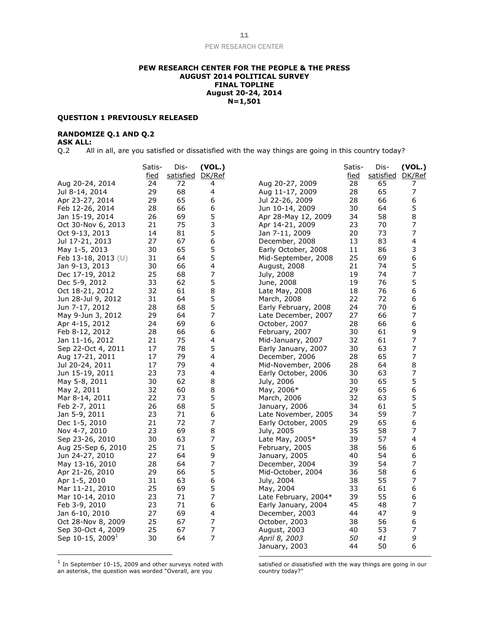#### **PEW RESEARCH CENTER FOR THE PEOPLE & THE PRESS AUGUST 2014 POLITICAL SURVEY FINAL TOPLINE August 20-24, 2014 N=1,501**

#### **QUESTION 1 PREVIOUSLY RELEASED**

#### **RANDOMIZE Q.1 AND Q.2**

#### **ASK ALL:**

Q.2 All in all, are you satisfied or dissatisfied with the way things are going in this country today?

|                              | Satis-      | Dis-             | (VOL.)         |                      | Satis-      | Dis-      | (VOL.)         |
|------------------------------|-------------|------------------|----------------|----------------------|-------------|-----------|----------------|
|                              | <u>fied</u> | satisfied DK/Ref |                |                      | <u>fied</u> | satisfied | DK/Ref         |
| Aug 20-24, 2014              | 24          | 72               | 4              | Aug 20-27, 2009      | 28          | 65        | 7              |
| Jul 8-14, 2014               | 29          | 68               | 4              | Aug 11-17, 2009      | 28          | 65        | 7              |
| Apr 23-27, 2014              | 29          | 65               | 6              | Jul 22-26, 2009      | 28          | 66        | 6              |
| Feb 12-26, 2014              | 28          | 66               | 6              | Jun 10-14, 2009      | 30          | 64        | 5              |
| Jan 15-19, 2014              | 26          | 69               | 5              | Apr 28-May 12, 2009  | 34          | 58        | 8              |
| Oct 30-Nov 6, 2013           | 21          | 75               | 3              | Apr 14-21, 2009      | 23          | 70        | 7              |
| Oct 9-13, 2013               | 14          | 81               | 5              | Jan 7-11, 2009       | 20          | 73        | 7              |
| Jul 17-21, 2013              | 27          | 67               | 6              | December, 2008       | 13          | 83        | 4              |
| May 1-5, 2013                | 30          | 65               | 5              | Early October, 2008  | 11          | 86        | 3              |
| Feb 13-18, 2013 $(U)$        | 31          | 64               | 5              | Mid-September, 2008  | 25          | 69        | 6              |
| Jan 9-13, 2013               | 30          | 66               | 4              | August, 2008         | 21          | 74        | 5              |
| Dec 17-19, 2012              | 25          | 68               | 7              | July, 2008           | 19          | 74        | 7              |
| Dec 5-9, 2012                | 33          | 62               | 5              | June, 2008           | 19          | 76        | 5              |
| Oct 18-21, 2012              | 32          | 61               | 8              | Late May, 2008       | 18          | 76        | 6              |
| Jun 28-Jul 9, 2012           | 31          | 64               | 5              | March, 2008          | 22          | 72        | 6              |
| Jun 7-17, 2012               | 28          | 68               | 5              | Early February, 2008 | 24          | 70        | 6              |
| May 9-Jun 3, 2012            | 29          | 64               | 7              | Late December, 2007  | 27          | 66        | 7              |
| Apr 4-15, 2012               | 24          | 69               | 6              | October, 2007        | 28          | 66        | 6              |
| Feb 8-12, 2012               | 28          | 66               | 6              | February, 2007       | 30          | 61        | 9              |
| Jan 11-16, 2012              | 21          | 75               | 4              | Mid-January, 2007    | 32          | 61        | 7              |
| Sep 22-Oct 4, 2011           | 17          | 78               | 5              | Early January, 2007  | 30          | 63        | 7              |
| Aug 17-21, 2011              | 17          | 79               | 4              | December, 2006       | 28          | 65        | $\overline{7}$ |
| Jul 20-24, 2011              | 17          | 79               | 4              | Mid-November, 2006   | 28          | 64        | 8              |
| Jun 15-19, 2011              | 23          | 73               | 4              | Early October, 2006  | 30          | 63        | 7              |
| May 5-8, 2011                | 30          | 62               | 8              | July, 2006           | 30          | 65        | 5              |
| May 2, 2011                  | 32          | 60               | 8              | May, 2006*           | 29          | 65        | 6              |
| Mar 8-14, 2011               | 22          | 73               | 5              | March, 2006          | 32          | 63        | 5              |
| Feb 2-7, 2011                | 26          | 68               | 5              | January, 2006        | 34          | 61        | 5              |
| Jan 5-9, 2011                | 23          | 71               | 6              | Late November, 2005  | 34          | 59        | 7              |
| Dec 1-5, 2010                | 21          | 72               | 7              | Early October, 2005  | 29          | 65        | 6              |
| Nov 4-7, 2010                | 23          | 69               | 8              | July, 2005           | 35          | 58        | 7              |
| Sep 23-26, 2010              | 30          | 63               | 7              | Late May, 2005*      | 39          | 57        | 4              |
| Aug 25-Sep 6, 2010           | 25          | 71               | 5              | February, 2005       | 38          | 56        | 6              |
| Jun 24-27, 2010              | 27          | 64               | 9              | January, 2005        | 40          | 54        | 6              |
| May 13-16, 2010              | 28          | 64               | 7              | December, 2004       | 39          | 54        | 7              |
| Apr 21-26, 2010              | 29          | 66               | 5              | Mid-October, 2004    | 36          | 58        | 6              |
| Apr 1-5, 2010                | 31          | 63               | 6              | July, 2004           | 38          | 55        | 7              |
| Mar 11-21, 2010              | 25          | 69               | 5              | May, 2004            | 33          | 61        | 6              |
| Mar 10-14, 2010              | 23          | 71               | 7              | Late February, 2004* | 39          | 55        | 6              |
| Feb 3-9, 2010                | 23          | 71               | 6              | Early January, 2004  | 45          | 48        | 7              |
| Jan 6-10, 2010               | 27          | 69               | 4              | December, 2003       | 44          | 47        | 9              |
| Oct 28-Nov 8, 2009           | 25          | 67               | 7              | October, 2003        | 38          | 56        | 6              |
| Sep 30-Oct 4, 2009           | 25          | 67               | 7              | August, 2003         | 40          | 53        | 7              |
| Sep 10-15, 2009 <sup>1</sup> | 30          | 64               | $\overline{7}$ | April 8, 2003        | 50          | 41        | 9              |
|                              |             |                  |                | January, 2003        | 44          | 50        | 6              |

 $1$  In September 10-15, 2009 and other surveys noted with an asterisk, the question was worded "Overall, are you

satisfied or dissatisfied with the way things are going in our country today?"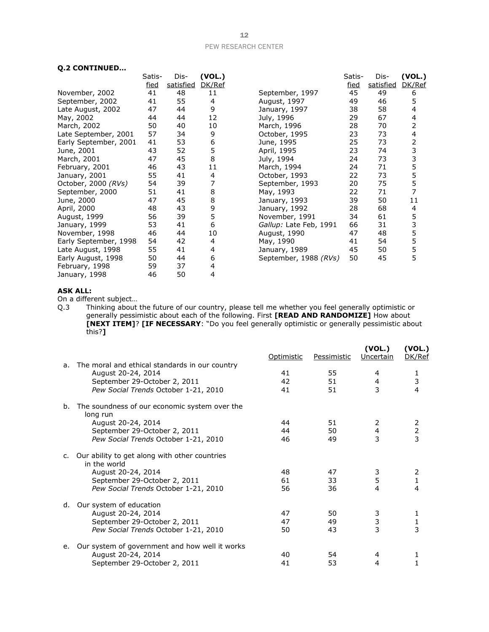#### **Q.2 CONTINUED…**

|                       | Satis-      | Dis-      | (VOL.) |                        | Satis-      | Dis-      | (VOL.)                  |
|-----------------------|-------------|-----------|--------|------------------------|-------------|-----------|-------------------------|
|                       | <u>fied</u> | satisfied | DK/Ref |                        | <u>fied</u> | satisfied | DK/Ref                  |
| November, 2002        | 41          | 48        | 11     | September, 1997        | 45          | 49        | 6                       |
| September, 2002       | 41          | 55        | 4      | August, 1997           | 49          | 46        | 5                       |
| Late August, 2002     | 47          | 44        | 9      | January, 1997          | 38          | 58        | 4                       |
| May, 2002             | 44          | 44        | 12     | July, 1996             | 29          | 67        | 4                       |
| March, 2002           | 50          | 40        | 10     | March, 1996            | 28          | 70        | 2                       |
| Late September, 2001  | 57          | 34        | 9      | October, 1995          | 23          | 73        | $\overline{\mathbf{4}}$ |
| Early September, 2001 | 41          | 53        | 6      | June, 1995             | 25          | 73        | 2                       |
| June, 2001            | 43          | 52        | 5      | April, 1995            | 23          | 74        | 3                       |
| March, 2001           | 47          | 45        | 8      | July, 1994             | 24          | 73        | 3<br>5                  |
| February, 2001        | 46          | 43        | 11     | March, 1994            | 24          | 71        |                         |
| January, 2001         | 55          | 41        | 4      | October, 1993          | 22          | 73        | 5<br>5                  |
| October, 2000 (RVs)   | 54          | 39        |        | September, 1993        | 20          | 75        |                         |
| September, 2000       | 51          | 41        | 8      | May, 1993              | 22          | 71        | 7                       |
| June, 2000            | 47          | 45        | 8      | January, 1993          | 39          | 50        | 11                      |
| April, 2000           | 48          | 43        | 9      | January, 1992          | 28          | 68        | 4                       |
| August, 1999          | 56          | 39        | 5      | November, 1991         | 34          | 61        | 5                       |
| January, 1999         | 53          | 41        | 6      | Gallup: Late Feb, 1991 | 66          | 31        | 3<br>5                  |
| November, 1998        | 46          | 44        | 10     | August, 1990           | 47          | 48        |                         |
| Early September, 1998 | 54          | 42        | 4      | May, 1990              | 41          | 54        | 5                       |
| Late August, 1998     | 55          | 41        | 4      | January, 1989          | 45          | 50        | 5                       |
| Early August, 1998    | 50          | 44        | 6      | September, 1988 (RVs)  | 50          | 45        | 5                       |
| February, 1998        | 59          | 37        | 4      |                        |             |           |                         |
| January, 1998         | 46          | 50        | 4      |                        |             |           |                         |

#### **ASK ALL:**

On a different subject…

Q.3 Thinking about the future of our country, please tell me whether you feel generally optimistic or generally pessimistic about each of the following. First **[READ AND RANDOMIZE]** How about **[NEXT ITEM]**? **[IF NECESSARY**: "Do you feel generally optimistic or generally pessimistic about this?**]**

|    |                                                               | Optimistic | Pessimistic | (VOL.)<br>Uncertain     | (VOL.)<br>DK/Ref                           |
|----|---------------------------------------------------------------|------------|-------------|-------------------------|--------------------------------------------|
| a. | The moral and ethical standards in our country                |            |             |                         |                                            |
|    | August 20-24, 2014                                            | 41         | 55          | 4                       |                                            |
|    | September 29-October 2, 2011                                  | 42         | 51          | $\overline{4}$          | $\frac{1}{3}$                              |
|    | Pew Social Trends October 1-21, 2010                          | 41         | 51          | 3                       | 4                                          |
| b. | The soundness of our economic system over the<br>long run     |            |             |                         |                                            |
|    | August 20-24, 2014                                            | 44         | 51          | 2                       |                                            |
|    | September 29-October 2, 2011                                  | 44         | 50          | $\overline{\mathbf{4}}$ | $\begin{array}{c} 2 \\ 2 \\ 3 \end{array}$ |
|    | Pew Social Trends October 1-21, 2010                          | 46         | 49          | 3                       |                                            |
| C. | Our ability to get along with other countries<br>in the world |            |             |                         |                                            |
|    | August 20-24, 2014                                            | 48         | 47          | 3                       | 2                                          |
|    | September 29-October 2, 2011                                  | 61         | 33          | 5                       | $\mathbf{1}$                               |
|    | Pew Social Trends October 1-21, 2010                          | 56         | 36          | 4                       | 4                                          |
| d. | Our system of education                                       |            |             |                         |                                            |
|    | August 20-24, 2014                                            | 47         | 50          | 3                       | 1                                          |
|    | September 29-October 2, 2011                                  | 47         | 49          | $\frac{3}{3}$           |                                            |
|    | Pew Social Trends October 1-21, 2010                          | 50         | 43          |                         | $\frac{1}{3}$                              |
| e. | Our system of government and how well it works                |            |             |                         |                                            |
|    | August 20-24, 2014                                            | 40         | 54          | 4                       | 1                                          |
|    | September 29-October 2, 2011                                  | 41         | 53          | 4                       |                                            |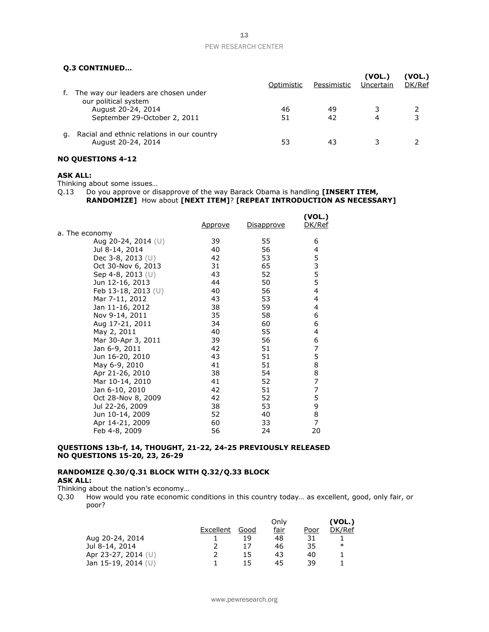#### **Q.3 CONTINUED…**

|    |                                                                  | Optimistic | Pessimistic | (VOL.)<br>Uncertain | (VOL.)<br>DK/Ref |
|----|------------------------------------------------------------------|------------|-------------|---------------------|------------------|
| t. | The way our leaders are chosen under<br>our political system     |            |             |                     |                  |
|    | August 20-24, 2014<br>September 29-October 2, 2011               | 46<br>51   | 49<br>42    |                     |                  |
| а. | Racial and ethnic relations in our country<br>August 20-24, 2014 | 53         | 43          |                     |                  |

#### **NO QUESTIONS 4-12**

#### **ASK ALL:**

Thinking about some issues…

Q.13 Do you approve or disapprove of the way Barack Obama is handling **[INSERT ITEM, RANDOMIZE]** How about **[NEXT ITEM]**? **[REPEAT INTRODUCTION AS NECESSARY]**

|                       | <u>Approve</u> | <u>Disapprove</u> | (VOL.)<br>DK/Ref |
|-----------------------|----------------|-------------------|------------------|
| a. The economy        |                |                   |                  |
| Aug 20-24, 2014 $(U)$ | 39             | 55                | 6                |
| Jul 8-14, 2014        | 40             | 56                | 4                |
| Dec 3-8, 2013 (U)     | 42             | 53                | 5                |
| Oct 30-Nov 6, 2013    | 31             | 65                | 3                |
| Sep 4-8, 2013 $(U)$   | 43             | 52                | 5                |
| Jun 12-16, 2013       | 44             | 50                | 5                |
| Feb 13-18, 2013 $(U)$ | 40             | 56                | $\overline{4}$   |
| Mar 7-11, 2012        | 43             | 53                | 4                |
| Jan 11-16, 2012       | 38             | 59                | 4                |
| Nov 9-14, 2011        | 35             | 58                | 6                |
| Aug 17-21, 2011       | 34             | 60                | 6                |
| May 2, 2011           | 40             | 55                | 4                |
| Mar 30-Apr 3, 2011    | 39             | 56                | 6                |
| Jan 6-9, 2011         | 42             | 51                | 7                |
| Jun 16-20, 2010       | 43             | 51                | 5                |
| May 6-9, 2010         | 41             | 51                | 8                |
| Apr 21-26, 2010       | 38             | 54                | 8                |
| Mar 10-14, 2010       | 41             | 52                | $\overline{7}$   |
| Jan 6-10, 2010        | 42             | 51                | 7                |
| Oct 28-Nov 8, 2009    | 42             | 52                | 5                |
| Jul 22-26, 2009       | 38             | 53                | 9                |
| Jun 10-14, 2009       | 52             | 40                | 8                |
| Apr 14-21, 2009       | 60             | 33                | 7                |
| Feb 4-8, 2009         | 56             | 24                | 20               |

#### **QUESTIONS 13b-f, 14, THOUGHT, 21-22, 24-25 PREVIOUSLY RELEASED NO QUESTIONS 15-20, 23, 26-29**

#### **RANDOMIZE Q.30/Q.31 BLOCK WITH Q.32/Q.33 BLOCK ASK ALL:**

Thinking about the nation's economy…

Q.30 How would you rate economic conditions in this country today… as excellent, good, only fair, or poor?

|                       |           |      | Only |      | (VOL.) |
|-----------------------|-----------|------|------|------|--------|
|                       | Excellent | Good | fair | Poor | DK/Ref |
| Aug 20-24, 2014       |           | 19   | 48   | 31   |        |
| Jul 8-14, 2014        |           |      | 46   | 35   | ∗      |
| Apr 23-27, 2014 $(U)$ |           | 15   | 43   | 40   |        |
| Jan 15-19, 2014 $(U)$ |           | 15   | 45   | 39   |        |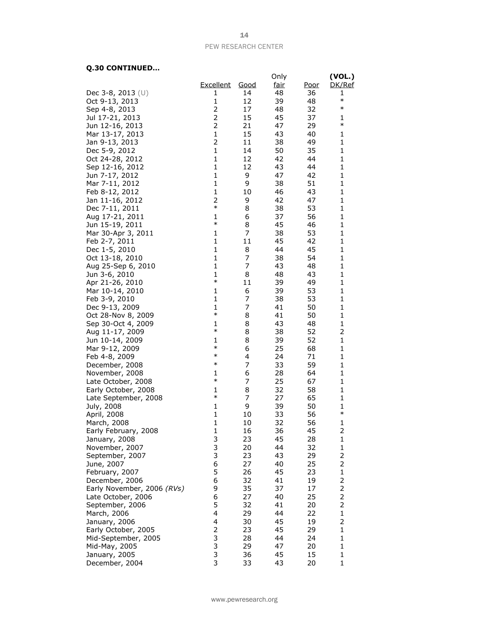#### **Q.30 CONTINUED…**

|                            |              |             | Only        |      | (VOL.)         |
|----------------------------|--------------|-------------|-------------|------|----------------|
|                            | Excellent    | <u>Good</u> | <u>fair</u> | Poor | DK/Ref         |
| Dec 3-8, 2013 $(U)$        | 1            | 14          | 48          | 36   | 1              |
| Oct 9-13, 2013             | 1            | 12          | 39          | 48   | $\ast$         |
| Sep 4-8, 2013              | 2            | 17          | 48          | 32   | $\ast$         |
| Jul 17-21, 2013            | 2            | 15          | 45          | 37   | 1              |
| Jun 12-16, 2013            | 2            | 21          | 47          | 29   | $\ast$         |
|                            | 1            | 15          |             |      |                |
| Mar 13-17, 2013            | 2            |             | 43          | 40   | 1              |
| Jan 9-13, 2013             |              | 11          | 38          | 49   | 1              |
| Dec 5-9, 2012              | $\mathbf{1}$ | 14          | 50          | 35   | 1              |
| Oct 24-28, 2012            | $\mathbf{1}$ | 12          | 42          | 44   | 1              |
| Sep 12-16, 2012            | $\mathbf{1}$ | 12          | 43          | 44   | 1              |
| Jun 7-17, 2012             | $\mathbf{1}$ | 9           | 47          | 42   | 1              |
| Mar 7-11, 2012             | $\mathbf{1}$ | 9           | 38          | 51   | 1              |
| Feb 8-12, 2012             | $\mathbf{1}$ | 10          | 46          | 43   | 1              |
| Jan 11-16, 2012            | 2            | 9           | 42          | 47   | 1              |
| Dec 7-11, 2011             | $\ast$       | 8           | 38          | 53   | 1              |
| Aug 17-21, 2011            | 1            | 6           | 37          | 56   | 1              |
| Jun 15-19, 2011            | $\ast$       | 8           | 45          | 46   | 1              |
| Mar 30-Apr 3, 2011         | 1            | 7           | 38          | 53   | 1              |
| Feb 2-7, 2011              | $\mathbf{1}$ | 11          | 45          | 42   | 1              |
| Dec 1-5, 2010              | $\mathbf{1}$ | 8           | 44          | 45   | 1              |
| Oct 13-18, 2010            | $\mathbf{1}$ | 7           | 38          | 54   | 1              |
| Aug 25-Sep 6, 2010         | $\mathbf{1}$ | 7           | 43          | 48   | 1              |
| Jun 3-6, 2010              | $\mathbf{1}$ | 8           | 48          | 43   | 1              |
| Apr 21-26, 2010            | $\ast$       | 11          | 39          | 49   | 1              |
| Mar 10-14, 2010            | 1            | 6           | 39          | 53   | 1              |
| Feb 3-9, 2010              | $\mathbf{1}$ | 7           | 38          | 53   | 1              |
| Dec 9-13, 2009             | 1            | 7           | 41          | 50   | 1              |
| Oct 28-Nov 8, 2009         | $\ast$       | 8           | 41          | 50   | 1              |
| Sep 30-Oct 4, 2009         | 1            | 8           | 43          | 48   | 1              |
| Aug 11-17, 2009            | $\ast$       | 8           | 38          | 52   | 2              |
| Jun 10-14, 2009            | 1            | 8           | 39          | 52   | 1              |
| Mar 9-12, 2009             | $\ast$       | 6           | 25          | 68   | 1              |
| Feb 4-8, 2009              | $\ast$       | 4           | 24          | 71   | 1              |
| December, 2008             | $\ast$       | 7           | 33          | 59   | 1              |
| November, 2008             | 1            | 6           | 28          | 64   | 1              |
| Late October, 2008         | $\ast$       | 7           | 25          | 67   | 1              |
| Early October, 2008        | 1            | 8           | 32          | 58   | 1              |
| Late September, 2008       | $\ast$       | 7           | 27          | 65   | 1              |
| July, 2008                 | 1            | 9           | 39          | 50   | 1              |
| April, 2008                | $\mathbf{1}$ | 10          | 33          | 56   | $\ast$         |
| March, 2008                | $\mathbf{1}$ | 10          | 32          | 56   | 1              |
| Early February, 2008       | $\mathbf{1}$ | 16          | 36          | 45   | 2              |
| January, 2008              | 3            | 23          | 45          | 28   | 1              |
| November, 2007             | 3            | 20          | 44          | 32   | 1              |
| September, 2007            | 3            | 23          | 43          | 29   | 2              |
| June, 2007                 | 6            | 27          | 40          | 25   | 2              |
| February, 2007             | 5            | 26          | 45          | 23   | $\mathbf{1}$   |
| December, 2006             | 6            | 32          | 41          | 19   | 2              |
| Early November, 2006 (RVs) | 9            | 35          | 37          | 17   | 2              |
| Late October, 2006         | 6            | 27          | 40          | 25   | 2              |
| September, 2006            | 5            | 32          | 41          | 20   | $\overline{2}$ |
| March, 2006                | 4            | 29          | 44          | 22   | $\mathbf{1}$   |
| January, 2006              | 4            | 30          | 45          | 19   | 2              |
| Early October, 2005        | 2            | 23          | 45          | 29   | 1              |
| Mid-September, 2005        | 3            | 28          | 44          | 24   | $\mathbf{1}$   |
| Mid-May, 2005              | 3            | 29          | 47          | 20   | 1              |
| January, 2005              | 3            | 36          | 45          | 15   | 1              |
| December, 2004             | 3            | 33          | 43          | 20   | $\mathbf{1}$   |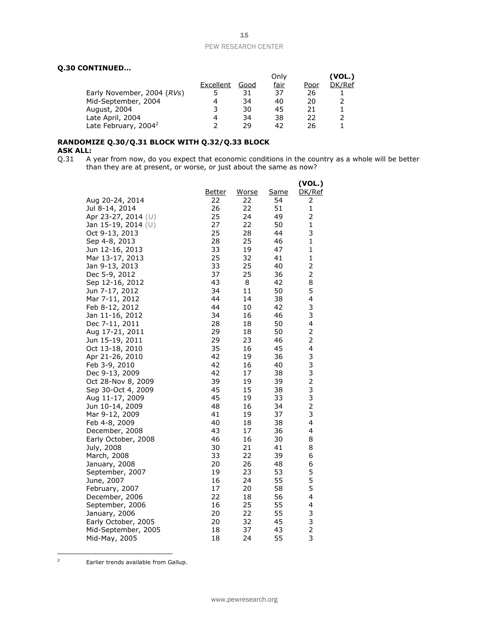#### **Q.30 CONTINUED…**

|           |      | Only |      | (VOL.) |
|-----------|------|------|------|--------|
| Excellent | Good | fair | Poor | DK/Ref |
| ל         |      | 37   | 26   |        |
| 4         | 34   | 40   | 20   |        |
| 3         | 30   | 45   | 21   |        |
| 4         | 34   | 38   | 22   |        |
|           | 29   | 42   | 26   |        |
|           |      |      |      |        |

#### **RANDOMIZE Q.30/Q.31 BLOCK WITH Q.32/Q.33 BLOCK ASK ALL:**

Q.31 A year from now, do you expect that economic conditions in the country as a whole will be better than they are at present, or worse, or just about the same as now?

|                                   |               |          |             | (VOL.)                  |
|-----------------------------------|---------------|----------|-------------|-------------------------|
|                                   | <u>Better</u> | Worse    | <u>Same</u> | DK/Ref                  |
| Aug 20-24, 2014                   | 22            | 22       | 54          | 2                       |
| Jul 8-14, 2014                    | 26            | 22       | 51          | 1                       |
| Apr 23-27, 2014 (U)               | 25            | 24       | 49          | 2                       |
| Jan 15-19, 2014 (U)               | 27            | 22       | 50          | 1                       |
| Oct 9-13, 2013                    | 25            | 28       | 44          | 3                       |
| Sep 4-8, 2013                     | 28            | 25       | 46          | 1                       |
| Jun 12-16, 2013                   | 33            | 19       | 47          | $\mathbf{1}$            |
| Mar 13-17, 2013                   | 25            | 32       | 41          | $\mathbf 1$             |
| Jan 9-13, 2013                    | 33            | 25       | 40          | $\overline{2}$          |
| Dec 5-9, 2012                     | 37            | 25       | 36          | 2                       |
| Sep 12-16, 2012                   | 43            | 8        | 42          | 8                       |
| Jun 7-17, 2012                    | 34            | 11       | 50          | 5                       |
| Mar 7-11, 2012                    | 44            | 14       | 38          | 4                       |
| Feb 8-12, 2012                    | 44            | 10       | 42          | 3                       |
| Jan 11-16, 2012                   | 34            | 16       | 46          | 3                       |
| Dec 7-11, 2011                    | 28            | 18       | 50          | 4                       |
| Aug 17-21, 2011                   | 29            | 18       | 50          | $\overline{2}$          |
| Jun 15-19, 2011                   | 29            | 23       | 46          | 2                       |
| Oct 13-18, 2010                   | 35            | 16       | 45          | 4                       |
| Apr 21-26, 2010                   | 42            | 19       | 36          | 3                       |
| Feb 3-9, 2010                     | 42            | 16       | 40          | 3                       |
| Dec 9-13, 2009                    | 42            | 17       | 38          | 3                       |
| Oct 28-Nov 8, 2009                | 39            | 19       | 39          | $\overline{c}$<br>3     |
| Sep 30-Oct 4, 2009                | 45<br>45      | 15<br>19 | 38<br>33    | 3                       |
| Aug 11-17, 2009                   | 48            | 16       | 34          | $\overline{\mathbf{c}}$ |
| Jun 10-14, 2009<br>Mar 9-12, 2009 | 41            | 19       | 37          | 3                       |
| Feb 4-8, 2009                     | 40            | 18       | 38          | 4                       |
| December, 2008                    | 43            | 17       | 36          | 4                       |
| Early October, 2008               | 46            | 16       | 30          | 8                       |
| July, 2008                        | 30            | 21       | 41          | 8                       |
| March, 2008                       | 33            | 22       | 39          | 6                       |
| January, 2008                     | 20            | 26       | 48          | 6                       |
| September, 2007                   | 19            | 23       | 53          | 5                       |
| June, 2007                        | 16            | 24       | 55          | 5                       |
| February, 2007                    | 17            | 20       | 58          | 5                       |
| December, 2006                    | 22            | 18       | 56          | 4                       |
| September, 2006                   | 16            | 25       | 55          | 4                       |
| January, 2006                     | 20            | 22       | 55          | 3                       |
| Early October, 2005               | 20            | 32       | 45          | $\frac{3}{2}$           |
| Mid-September, 2005               | 18            | 37       | 43          |                         |
| Mid-May, 2005                     | 18            | 24       | 55          | 3                       |

Earlier trends available from Gallup.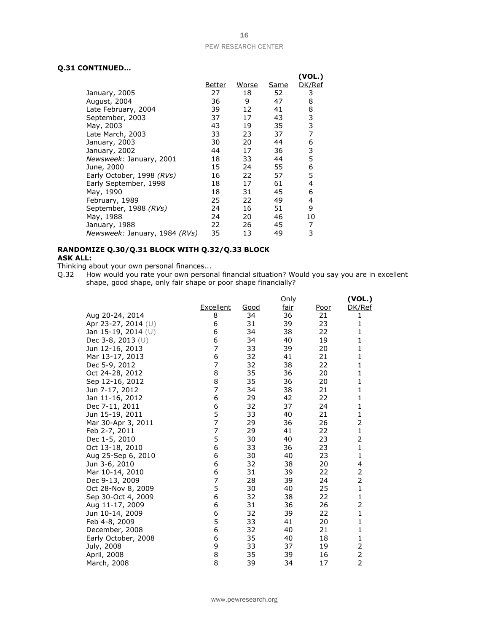#### **Q.31 CONTINUED…**

|                               |        |       |      | (VOL.) |
|-------------------------------|--------|-------|------|--------|
|                               | Better | Worse | Same | DK/Ref |
| January, 2005                 | 27     | 18    | 52   | 3      |
| August, 2004                  | 36     | 9     | 47   | 8      |
| Late February, 2004           | 39     | 12    | 41   | 8      |
| September, 2003               | 37     | 17    | 43   | 3      |
| May, 2003                     | 43     | 19    | 35   | 3      |
| Late March, 2003              | 33     | 23    | 37   | 7      |
| January, 2003                 | 30     | 20    | 44   | 6      |
| January, 2002                 | 44     | 17    | 36   | 3      |
| Newsweek: January, 2001       | 18     | 33    | 44   | 5      |
| June, 2000                    | 15     | 24    | 55   | 6      |
| Early October, 1998 (RVs)     | 16     | 22    | 57   | 5      |
| Early September, 1998         | 18     | 17    | 61   | 4      |
| May, 1990                     | 18     | 31    | 45   | 6      |
| February, 1989                | 25     | 22    | 49   | 4      |
| September, 1988 (RVs)         | 24     | 16    | 51   | 9      |
| May, 1988                     | 24     | 20    | 46   | 10     |
| January, 1988                 | 22     | 26    | 45   | 7      |
| Newsweek: January, 1984 (RVs) | 35     | 13    | 49   | 3      |

#### **RANDOMIZE Q.30/Q.31 BLOCK WITH Q.32/Q.33 BLOCK ASK ALL:**

Thinking about your own personal finances...

Q.32 How would you rate your own personal financial situation? Would you say you are in excellent shape, good shape, only fair shape or poor shape financially?

|                       |                  |      | Only        |             | (VOL.)                  |
|-----------------------|------------------|------|-------------|-------------|-------------------------|
|                       | <b>Excellent</b> | Good | <u>fair</u> | <u>Poor</u> | DK/Ref                  |
| Aug 20-24, 2014       | 8                | 34   | 36          | 21          | 1                       |
| Apr 23-27, 2014 $(U)$ | 6                | 31   | 39          | 23          | 1                       |
| Jan 15-19, 2014 (U)   | 6                | 34   | 38          | 22          | 1                       |
| Dec 3-8, 2013 (U)     | 6                | 34   | 40          | 19          | $\mathbf{1}$            |
| Jun 12-16, 2013       | 7                | 33   | 39          | 20          | $\mathbf{1}$            |
| Mar 13-17, 2013       | 6                | 32   | 41          | 21          | 1                       |
| Dec 5-9, 2012         | 7                | 32   | 38          | 22          | 1                       |
| Oct 24-28, 2012       | 8                | 35   | 36          | 20          | $\mathbf{1}$            |
| Sep 12-16, 2012       | 8                | 35   | 36          | 20          | 1                       |
| Jun 7-17, 2012        | 7                | 34   | 38          | 21          | 1                       |
| Jan 11-16, 2012       | 6                | 29   | 42          | 22          | $\mathbf{1}$            |
| Dec 7-11, 2011        | 6                | 32   | 37          | 24          | $\mathbf{1}$            |
| Jun 15-19, 2011       | 5                | 33   | 40          | 21          | $\mathbf{1}$            |
| Mar 30-Apr 3, 2011    | 7                | 29   | 36          | 26          | 2                       |
| Feb 2-7, 2011         | 7                | 29   | 41          | 22          | $\mathbf{1}$            |
| Dec 1-5, 2010         | 5                | 30   | 40          | 23          | $\overline{2}$          |
| Oct 13-18, 2010       | 6                | 33   | 36          | 23          | $\mathbf{1}$            |
| Aug 25-Sep 6, 2010    | 6                | 30   | 40          | 23          | $\mathbf{1}$            |
| Jun 3-6, 2010         | 6                | 32   | 38          | 20          | 4                       |
| Mar 10-14, 2010       | 6                | 31   | 39          | 22          | $\overline{\mathbf{c}}$ |
| Dec 9-13, 2009        | 7                | 28   | 39          | 24          | $\overline{2}$          |
| Oct 28-Nov 8, 2009    | 5                | 30   | 40          | 25          | $\mathbf{1}$            |
| Sep 30-Oct 4, 2009    | 6                | 32   | 38          | 22          | $\mathbf{1}$            |
| Aug 11-17, 2009       | 6                | 31   | 36          | 26          | 2                       |
| Jun 10-14, 2009       | 6                | 32   | 39          | 22          | $\mathbf{1}$            |
| Feb 4-8, 2009         | 5                | 33   | 41          | 20          | $\mathbf{1}$            |
| December, 2008        | 6                | 32   | 40          | 21          | $\mathbf{1}$            |
| Early October, 2008   | 6                | 35   | 40          | 18          | $\mathbf 1$             |
| July, 2008            | 9                | 33   | 37          | 19          | $\mathbf 2$             |
| April, 2008           | 8                | 35   | 39          | 16          | $\frac{2}{2}$           |
| March, 2008           | 8                | 39   | 34          | 17          |                         |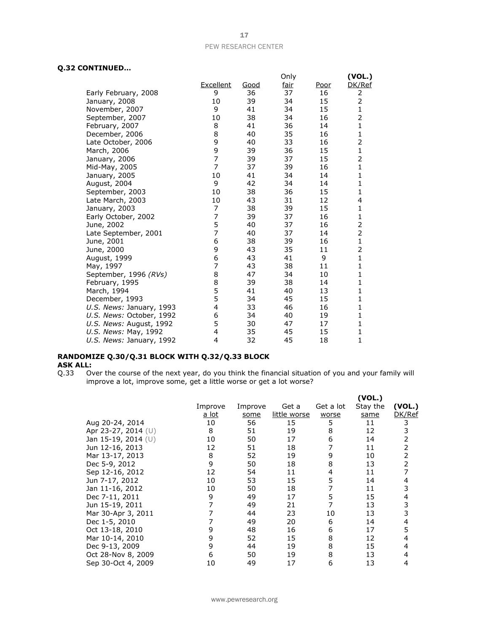#### **Q.32 CONTINUED…**

|                          |                |      | Only        |             | (VOL.)         |
|--------------------------|----------------|------|-------------|-------------|----------------|
|                          | Excellent      | Good | <u>fair</u> | <u>Poor</u> | DK/Ref         |
| Early February, 2008     | 9              | 36   | 37          | 16          | 2              |
| January, 2008            | 10             | 39   | 34          | 15          | 2              |
| November, 2007           | 9              | 41   | 34          | 15          | $\mathbf{1}$   |
| September, 2007          | 10             | 38   | 34          | 16          | 2              |
| February, 2007           | 8              | 41   | 36          | 14          | $\mathbf{1}$   |
| December, 2006           | 8              | 40   | 35          | 16          | 1              |
| Late October, 2006       | 9              | 40   | 33          | 16          | $\overline{2}$ |
| March, 2006              | 9              | 39   | 36          | 15          | $\mathbf{1}$   |
| January, 2006            | 7              | 39   | 37          | 15          | $\overline{2}$ |
| Mid-May, 2005            | $\overline{7}$ | 37   | 39          | 16          | $\mathbf{1}$   |
| January, 2005            | 10             | 41   | 34          | 14          | 1              |
| August, 2004             | 9              | 42   | 34          | 14          | $\mathbf{1}$   |
| September, 2003          | 10             | 38   | 36          | 15          | 1              |
| Late March, 2003         | 10             | 43   | 31          | 12          | 4              |
| January, 2003            | 7              | 38   | 39          | 15          | 1              |
| Early October, 2002      | 7              | 39   | 37          | 16          | $\mathbf{1}$   |
| June, 2002               | 5              | 40   | 37          | 16          | 2              |
| Late September, 2001     | $\overline{7}$ | 40   | 37          | 14          | $\overline{2}$ |
| June, 2001               | 6              | 38   | 39          | 16          | $\mathbf{1}$   |
| June, 2000               | 9              | 43   | 35          | 11          | 2              |
| August, 1999             | 6              | 43   | 41          | 9           | $\mathbf 1$    |
| May, 1997                | 7              | 43   | 38          | 11          | $\mathbf{1}$   |
| September, 1996 (RVs)    | 8              | 47   | 34          | 10          | 1              |
| February, 1995           | 8              | 39   | 38          | 14          | 1              |
| March, 1994              | 5              | 41   | 40          | 13          | $\mathbf{1}$   |
| December, 1993           | 5              | 34   | 45          | 15          | 1              |
| U.S. News: January, 1993 | 4              | 33   | 46          | 16          | 1              |
| U.S. News: October, 1992 | 6              | 34   | 40          | 19          | 1              |
| U.S. News: August, 1992  | 5              | 30   | 47          | 17          | $\mathbf{1}$   |
| U.S. News: May, 1992     | 4              | 35   | 45          | 15          | 1              |
| U.S. News: January, 1992 | 4              | 32   | 45          | 18          | 1              |

## **RANDOMIZE Q.30/Q.31 BLOCK WITH Q.32/Q.33 BLOCK ASK ALL:**<br>Q.33 0

Q.33 Over the course of the next year, do you think the financial situation of you and your family will improve a lot, improve some, get a little worse or get a lot worse?

|                     |         |         |              |           | (VOL.)   |        |
|---------------------|---------|---------|--------------|-----------|----------|--------|
|                     | Improve | Improve | Get a        | Get a lot | Stay the | (VOL.) |
|                     | a lot   | some    | little worse | worse     | same     | DK/Ref |
| Aug 20-24, 2014     | 10      | 56      | 15           | 5         | 11       | 3      |
| Apr 23-27, 2014 (U) | 8       | 51      | 19           | 8         | 12       | 3      |
| Jan 15-19, 2014 (U) | 10      | 50      | 17           | 6         | 14       | 2      |
| Jun 12-16, 2013     | 12      | 51      | 18           |           | 11       | 2      |
| Mar 13-17, 2013     | 8       | 52      | 19           | 9         | 10       | 2      |
| Dec 5-9, 2012       | 9       | 50      | 18           | 8         | 13       | 2      |
| Sep 12-16, 2012     | 12      | 54      | 11           | 4         | 11       |        |
| Jun 7-17, 2012      | 10      | 53      | 15           | 5         | 14       | 4      |
| Jan 11-16, 2012     | 10      | 50      | 18           |           | 11       | 3      |
| Dec 7-11, 2011      | 9       | 49      | 17           | 5         | 15       | 4      |
| Jun 15-19, 2011     |         | 49      | 21           |           | 13       | 3      |
| Mar 30-Apr 3, 2011  |         | 44      | 23           | 10        | 13       | 3      |
| Dec 1-5, 2010       |         | 49      | 20           | 6         | 14       | 4      |
| Oct 13-18, 2010     | 9       | 48      | 16           | 6         | 17       | 5      |
| Mar 10-14, 2010     | 9       | 52      | 15           | 8         | 12       | 4      |
| Dec 9-13, 2009      | 9       | 44      | 19           | 8         | 15       | 4      |
| Oct 28-Nov 8, 2009  | 6       | 50      | 19           | 8         | 13       | 4      |
| Sep 30-Oct 4, 2009  | 10      | 49      | 17           | 6         | 13       | 4      |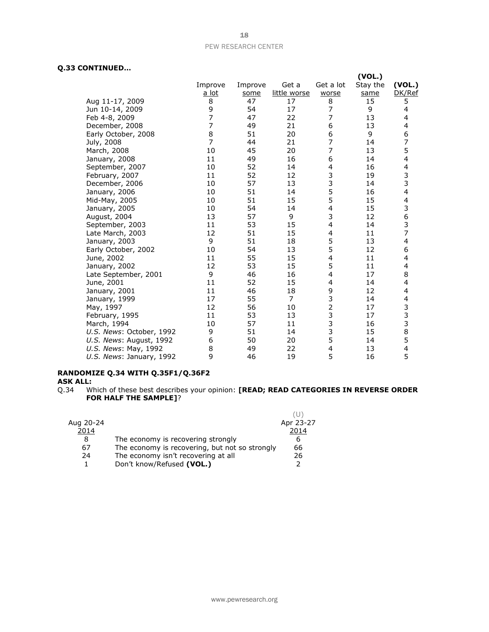#### **Q.33 CONTINUED…**

|                          |                |         |              |                | (VOL.)   |                         |
|--------------------------|----------------|---------|--------------|----------------|----------|-------------------------|
|                          | Improve        | Improve | Get a        | Get a lot      | Stay the | (VOL.)                  |
|                          | a lot          | some    | little worse | worse          | same     | DK/Ref                  |
| Aug 11-17, 2009          | 8              | 47      | 17           | 8              | 15       | 5                       |
| Jun 10-14, 2009          | 9              | 54      | 17           | $\overline{7}$ | 9        | 4                       |
| Feb 4-8, 2009            | $\overline{7}$ | 47      | 22           | $\overline{7}$ | 13       | 4                       |
| December, 2008           | $\overline{7}$ | 49      | 21           | 6              | 13       | 4                       |
| Early October, 2008      | 8              | 51      | 20           | 6              | 9        | 6                       |
| July, 2008               | $\overline{7}$ | 44      | 21           | $\overline{7}$ | 14       | $\overline{7}$          |
| March, 2008              | 10             | 45      | 20           | 7              | 13       | 5                       |
| January, 2008            | 11             | 49      | 16           | 6              | 14       | 4                       |
| September, 2007          | 10             | 52      | 14           | 4              | 16       | 4                       |
| February, 2007           | 11             | 52      | 12           | 3              | 19       | 3                       |
| December, 2006           | 10             | 57      | 13           | 3              | 14       | 3                       |
| January, 2006            | 10             | 51      | 14           | 5              | 16       | 4                       |
| Mid-May, 2005            | 10             | 51      | 15           | 5              | 15       | 4                       |
| January, 2005            | 10             | 54      | 14           | 4              | 15       | 3                       |
| August, 2004             | 13             | 57      | 9            | 3              | 12       | 6                       |
| September, 2003          | 11             | 53      | 15           | 4              | 14       | 3                       |
| Late March, 2003         | 12             | 51      | 15           | 4              | 11       | 7                       |
| January, 2003            | 9              | 51      | 18           | 5              | 13       | $\overline{\mathbf{4}}$ |
| Early October, 2002      | 10             | 54      | 13           | 5              | 12       | 6                       |
| June, 2002               | 11             | 55      | 15           | $\overline{4}$ | 11       | 4                       |
| January, 2002            | 12             | 53      | 15           | 5              | 11       | 4                       |
| Late September, 2001     | 9              | 46      | 16           | 4              | 17       | 8                       |
| June, 2001               | 11             | 52      | 15           | 4              | 14       | 4                       |
| January, 2001            | 11             | 46      | 18           | 9              | 12       | 4                       |
| January, 1999            | 17             | 55      | 7            | 3              | 14       | 4                       |
| May, 1997                | 12             | 56      | 10           | $\overline{2}$ | 17       | 3                       |
| February, 1995           | 11             | 53      | 13           | 3              | 17       | 3                       |
| March, 1994              | 10             | 57      | 11           | 3              | 16       | 3                       |
| U.S. News: October, 1992 | 9              | 51      | 14           | 3              | 15       | 8                       |
| U.S. News: August, 1992  | 6              | 50      | 20           | 5              | 14       | 5                       |
| U.S. News: May, 1992     | 8              | 49      | 22           | 4              | 13       | 4                       |
| U.S. News: January, 1992 | 9              | 46      | 19           | 5              | 16       | 5                       |

#### **RANDOMIZE Q.34 WITH Q.35F1/Q.36F2**

**ASK ALL:**

Q.34 Which of these best describes your opinion: **[READ; READ CATEGORIES IN REVERSE ORDER FOR HALF THE SAMPLE]**?

| Aug 20-24 |                                                | Apr 23-27 |
|-----------|------------------------------------------------|-----------|
| 2014      |                                                | 2014      |
| 8         | The economy is recovering strongly             | 6         |
| 67        | The economy is recovering, but not so strongly | 66        |
| 24        | The economy isn't recovering at all            | 26        |
|           | Don't know/Refused (VOL.)                      | ּר        |
|           |                                                |           |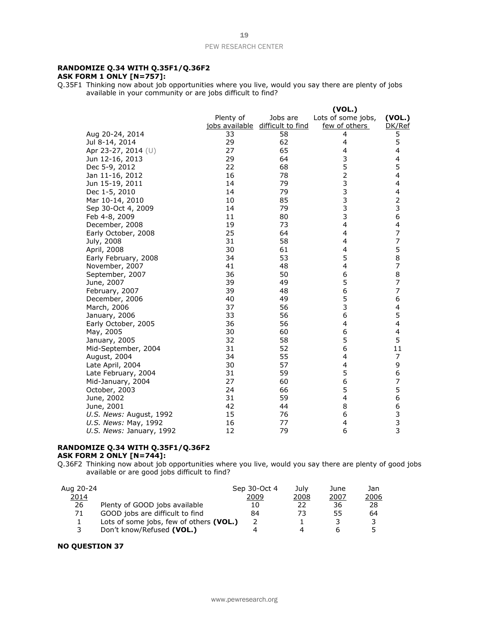#### **RANDOMIZE Q.34 WITH Q.35F1/Q.36F2 ASK FORM 1 ONLY [N=757]:**

Q.35F1 Thinking now about job opportunities where you live, would you say there are plenty of jobs available in your community or are jobs difficult to find?

|                          |           |                                  | (VOL.)             |                                            |
|--------------------------|-----------|----------------------------------|--------------------|--------------------------------------------|
|                          | Plenty of | Jobs are                         | Lots of some jobs, | (VOL.)                                     |
|                          |           | jobs available difficult to find | few of others      | DK/Ref                                     |
| Aug 20-24, 2014          | 33        | 58                               | 4                  | 5                                          |
| Jul 8-14, 2014           | 29        | 62                               | $\overline{4}$     | 5                                          |
| Apr 23-27, 2014 (U)      | 27        | 65                               | 4                  | 4                                          |
| Jun 12-16, 2013          | 29        | 64                               | 3                  | 4                                          |
| Dec 5-9, 2012            | 22        | 68                               | 5                  | 5                                          |
| Jan 11-16, 2012          | 16        | 78                               | $\overline{2}$     | 4                                          |
| Jun 15-19, 2011          | 14        | 79                               | 3                  | 4                                          |
| Dec 1-5, 2010            | 14        | 79                               | $\frac{3}{3}$      | 4                                          |
| Mar 10-14, 2010          | 10        | 85                               |                    | $\begin{array}{c} 2 \\ 3 \\ 6 \end{array}$ |
| Sep 30-Oct 4, 2009       | 14        | 79                               | 3                  |                                            |
| Feb 4-8, 2009            | 11        | 80                               | 3                  |                                            |
| December, 2008           | 19        | 73                               | $\overline{4}$     | 4                                          |
| Early October, 2008      | 25        | 64                               | 4                  | 7                                          |
| July, 2008               | 31        | 58                               | 4                  | 7                                          |
| April, 2008              | 30        | 61                               | 4                  | 5                                          |
| Early February, 2008     | 34        | 53                               | 5                  | 8                                          |
| November, 2007           | 41        | 48                               | 4                  | $\overline{7}$                             |
| September, 2007          | 36        | 50                               | 6                  | 8                                          |
| June, 2007               | 39        | 49                               | 5                  | $\overline{7}$                             |
| February, 2007           | 39        | 48                               | 6                  | 7                                          |
| December, 2006           | 40        | 49                               | 5                  | 6                                          |
| March, 2006              | 37        | 56                               | 3                  | 4                                          |
| January, 2006            | 33        | 56                               | 6                  | 5                                          |
| Early October, 2005      | 36        | 56                               | 4                  | 4                                          |
| May, 2005                | 30        | 60                               | 6                  | 4                                          |
| January, 2005            | 32        | 58                               | 5                  | 5                                          |
| Mid-September, 2004      | 31        | 52                               | 6                  | 11                                         |
| August, 2004             | 34        | 55                               | 4                  | 7                                          |
| Late April, 2004         | 30        | 57                               | 4                  | 9                                          |
| Late February, 2004      | 31        | 59                               | 5                  | 6                                          |
| Mid-January, 2004        | 27        | 60                               | 6                  | $\overline{7}$                             |
| October, 2003            | 24        | 66                               | 5                  | 5                                          |
| June, 2002               | 31        | 59                               | 4                  | 6                                          |
| June, 2001               | 42        | 44                               | 8                  | 6                                          |
| U.S. News: August, 1992  | 15        | 76                               | 6                  |                                            |
| U.S. News: May, 1992     | 16        | 77                               | 4                  | $\begin{array}{c} 3 \\ 3 \end{array}$      |
| U.S. News: January, 1992 | 12        | 79                               | 6                  |                                            |

#### **RANDOMIZE Q.34 WITH Q.35F1/Q.36F2 ASK FORM 2 ONLY [N=744]:**

Q.36F2 Thinking now about job opportunities where you live, would you say there are plenty of good jobs available or are good jobs difficult to find?

| Aug 20-24 |                                         | Sep 30-Oct 4 | July | June | Jan. |
|-----------|-----------------------------------------|--------------|------|------|------|
| 2014      |                                         | 2009         | 2008 | 2007 | 2006 |
| 26        | Plenty of GOOD jobs available           | 10           | 22   | 36   | 28   |
| 71        | GOOD jobs are difficult to find         | 84           | 73   | 55   | 64   |
|           | Lots of some jobs, few of others (VOL.) |              |      |      |      |
|           | Don't know/Refused (VOL.)               |              | Δ    |      |      |

#### **NO QUESTION 37**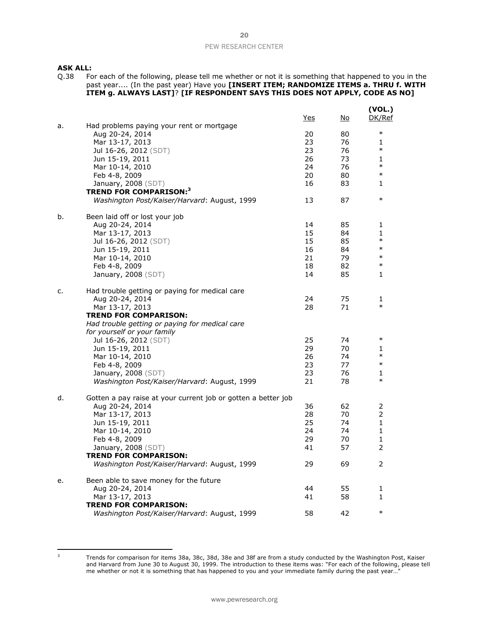**ASK ALL:**<br>Q.38 Fo Q.38 For each of the following, please tell me whether or not it is something that happened to you in the past year.... (In the past year) Have you **[INSERT ITEM; RANDOMIZE ITEMS a. THRU f. WITH ITEM g. ALWAYS LAST]**? **[IF RESPONDENT SAYS THIS DOES NOT APPLY, CODE AS NO]**

|    |                                                               | <u>Yes</u> | No.      | (VOL.)<br>DK/Ref       |
|----|---------------------------------------------------------------|------------|----------|------------------------|
| a. | Had problems paying your rent or mortgage                     |            |          |                        |
|    | Aug 20-24, 2014                                               | 20         | 80       | $\ast$                 |
|    | Mar 13-17, 2013                                               | 23         | 76       | 1                      |
|    | Jul 16-26, 2012 (SDT)                                         | 23         | 76       | $\ast$                 |
|    | Jun 15-19, 2011                                               | 26         | 73       | 1                      |
|    | Mar 10-14, 2010                                               | 24         | 76       | $\ast$                 |
|    | Feb 4-8, 2009                                                 | 20         | 80       | $\ast$                 |
|    | January, 2008 (SDT)                                           | 16         | 83       | 1                      |
|    | <b>TREND FOR COMPARISON:</b> 3                                |            |          |                        |
|    | Washington Post/Kaiser/Harvard: August, 1999                  | 13         | 87       | $\ast$                 |
| b. | Been laid off or lost your job                                |            |          |                        |
|    | Aug 20-24, 2014                                               | 14         | 85       | 1                      |
|    | Mar 13-17, 2013                                               | 15         | 84       | $\mathbf{1}$<br>$\ast$ |
|    | Jul 16-26, 2012 (SDT)                                         | 15         | 85       | $\ast$                 |
|    | Jun 15-19, 2011                                               | 16<br>21   | 84<br>79 | $\ast$                 |
|    | Mar 10-14, 2010                                               | 18         | 82       | $\ast$                 |
|    | Feb 4-8, 2009<br>January, 2008 (SDT)                          | 14         | 85       | 1                      |
|    |                                                               |            |          |                        |
| c. | Had trouble getting or paying for medical care                |            |          |                        |
|    | Aug 20-24, 2014                                               | 24         | 75       | 1                      |
|    | Mar 13-17, 2013                                               | 28         | 71       | $\ast$                 |
|    | <b>TREND FOR COMPARISON:</b>                                  |            |          |                        |
|    | Had trouble getting or paying for medical care                |            |          |                        |
|    | for yourself or your family                                   |            |          | $\ast$                 |
|    | Jul 16-26, 2012 (SDT)                                         | 25         | 74       |                        |
|    | Jun 15-19, 2011                                               | 29<br>26   | 70<br>74 | 1<br>$\ast$            |
|    | Mar 10-14, 2010                                               | 23         | 77       | $\ast$                 |
|    | Feb 4-8, 2009<br><b>January, 2008</b> (SDT)                   | 23         | 76       | 1                      |
|    | Washington Post/Kaiser/Harvard: August, 1999                  | 21         | 78       | $\ast$                 |
|    |                                                               |            |          |                        |
| d. | Gotten a pay raise at your current job or gotten a better job |            |          |                        |
|    | Aug 20-24, 2014                                               | 36         | 62       | 2                      |
|    | Mar 13-17, 2013                                               | 28         | 70       | 2                      |
|    | Jun 15-19, 2011                                               | 25         | 74       | $\mathbf{1}$           |
|    | Mar 10-14, 2010                                               | 24         | 74       | 1                      |
|    | Feb 4-8, 2009                                                 | 29         | 70       | 1                      |
|    | January, 2008 (SDT)                                           | 41         | 57       | 2                      |
|    | <b>TREND FOR COMPARISON:</b>                                  |            |          | 2                      |
|    | Washington Post/Kaiser/Harvard: August, 1999                  | 29         | 69       |                        |
| e. | Been able to save money for the future                        |            |          |                        |
|    | Aug 20-24, 2014                                               | 44         | 55       | 1                      |
|    | Mar 13-17, 2013                                               | 41         | 58       | 1                      |
|    | <b>TREND FOR COMPARISON:</b>                                  |            |          |                        |
|    | Washington Post/Kaiser/Harvard: August, 1999                  | 58         | 42       | $\ast$                 |

<sup>&</sup>lt;sup>3</sup> Trends for comparison for items 38a, 38c, 38d, 38e and 38f are from a study conducted by the Washington Post, Kaiser and Harvard from June 30 to August 30, 1999. The introduction to these items was: "For each of the following, please tell me whether or not it is something that has happened to you and your immediate family during the past year...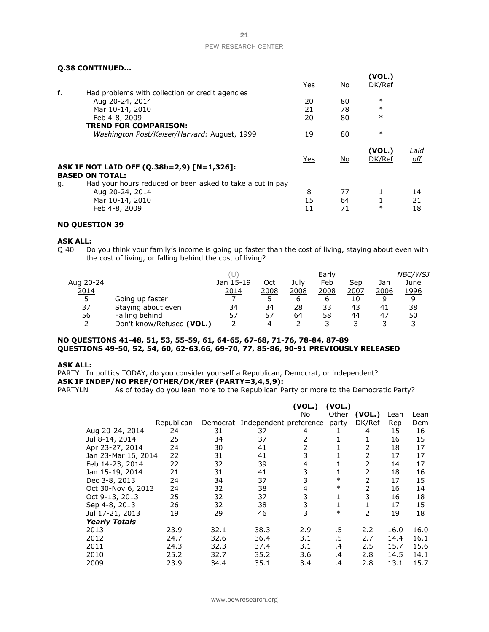#### **Q.38 CONTINUED...**

|    |                                                           | Yes        | <u>No</u> | (VOL.)<br>DK/Ref |                    |
|----|-----------------------------------------------------------|------------|-----------|------------------|--------------------|
| f. | Had problems with collection or credit agencies           |            |           |                  |                    |
|    | Aug 20-24, 2014                                           | 20         | 80        | $\ast$           |                    |
|    | Mar 10-14, 2010                                           | 21         | 78        | $\ast$           |                    |
|    | Feb 4-8, 2009                                             | 20         | 80        | $\ast$           |                    |
|    | <b>TREND FOR COMPARISON:</b>                              |            |           |                  |                    |
|    | Washington Post/Kaiser/Harvard: August, 1999              | 19         | 80        | $\ast$           |                    |
|    |                                                           | <b>Yes</b> | <u>No</u> | (VOL.)<br>DK/Ref | Laid<br><u>off</u> |
|    | ASK IF NOT LAID OFF (Q.38b=2,9) [N=1,326]:                |            |           |                  |                    |
|    | <b>BASED ON TOTAL:</b>                                    |            |           |                  |                    |
| g. | Had your hours reduced or been asked to take a cut in pay |            |           |                  |                    |
|    | Aug 20-24, 2014                                           | 8          | 77        | 1                | 14                 |
|    | Mar 10-14, 2010                                           | 15         | 64        |                  | 21                 |
|    | Feb 4-8, 2009                                             | 11         | 71        | $\ast$           | 18                 |

#### **NO QUESTION 39**

**ASK ALL:**<br>Q.40 Do Do you think your family's income is going up faster than the cost of living, staying about even with the cost of living, or falling behind the cost of living?

|           |                           |           |      |      | Early |      |      | <b>NBC/WSJ</b> |
|-----------|---------------------------|-----------|------|------|-------|------|------|----------------|
| Aug 20-24 |                           | Jan 15-19 | Oct  | July | Feb   | Sep  | Jan  | June           |
| 2014      |                           | 2014      | 2008 | 2008 | 2008  | 2007 | 2006 | 1996           |
| 5         | Going up faster           |           |      | b    | b     | 10   |      |                |
| 37        | Staying about even        | 34        | 34   | 28   | 33    | 43   | 41   | 38             |
| 56        | Falling behind            | 57        | 57   | 64   | 58    | 44   | 47   | 50             |
|           | Don't know/Refused (VOL.) |           | 4    |      |       |      |      |                |

#### **NO QUESTIONS 41-48, 51, 53, 55-59, 61, 64-65, 67-68, 71-76, 78-84, 87-89 QUESTIONS 49-50, 52, 54, 60, 62-63,66, 69-70, 77, 85-86, 90-91 PREVIOUSLY RELEASED**

#### **ASK ALL:**

PARTY In politics TODAY, do you consider yourself a Republican, Democrat, or independent? **ASK IF INDEP/NO PREF/OTHER/DK/REF (PARTY=3,4,5,9):**

PARTYLN As of today do you lean more to the Republican Party or more to the Democratic Party?

|                      |            |          |                        | (VOL.) | (VOL.)       |                |      |      |
|----------------------|------------|----------|------------------------|--------|--------------|----------------|------|------|
|                      |            |          |                        | No     | Other        | (VOL.)         | Lean | Lean |
|                      | Republican | Democrat | Independent preference |        | party        | DK/Ref         | Rep  | Dem  |
| Aug 20-24, 2014      | 24         | 31       | 37                     | 4      |              | 4              | 15   | 16   |
| Jul 8-14, 2014       | 25         | 34       | 37                     | 2      |              | 1              | 16   | 15   |
| Apr 23-27, 2014      | 24         | 30       | 41                     | 2      |              | 2              | 18   | 17   |
| Jan 23-Mar 16, 2014  | 22         | 31       | 41                     | 3      |              | 2              | 17   | 17   |
| Feb 14-23, 2014      | 22         | 32       | 39                     | 4      |              | 2              | 14   | 17   |
| Jan 15-19, 2014      | 21         | 31       | 41                     | 3      |              | 2              | 18   | 16   |
| Dec 3-8, 2013        | 24         | 34       | 37                     | 3      | $\ast$       | 2              | 17   | 15   |
| Oct 30-Nov 6, 2013   | 24         | 32       | 38                     | 4      | $\ast$       | $\overline{2}$ | 16   | 14   |
| Oct 9-13, 2013       | 25         | 32       | 37                     | 3      | 1            | 3              | 16   | 18   |
| Sep 4-8, 2013        | 26         | 32       | 38                     | 3      | $\mathbf{1}$ | 1              | 17   | 15   |
| Jul 17-21, 2013      | 19         | 29       | 46                     | 3      | $\ast$       | $\overline{2}$ | 19   | 18   |
| <b>Yearly Totals</b> |            |          |                        |        |              |                |      |      |
| 2013                 | 23.9       | 32.1     | 38.3                   | 2.9    | .5           | 2.2            | 16.0 | 16.0 |
| 2012                 | 24.7       | 32.6     | 36.4                   | 3.1    | .5           | 2.7            | 14.4 | 16.1 |
| 2011                 | 24.3       | 32.3     | 37.4                   | 3.1    | .4           | 2.5            | 15.7 | 15.6 |
| 2010                 | 25.2       | 32.7     | 35.2                   | 3.6    | .4           | 2.8            | 14.5 | 14.1 |
| 2009                 | 23.9       | 34.4     | 35.1                   | 3.4    | .4           | 2.8            | 13.1 | 15.7 |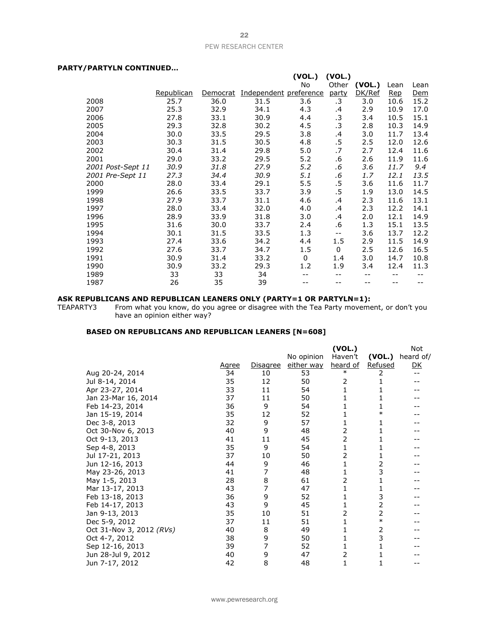#### **PARTY/PARTYLN CONTINUED…**

| , , ,,,, , ,,, ,,,,,,,,,,,,,,,,,,, |            |          |                        |          |             |        |      |            |
|------------------------------------|------------|----------|------------------------|----------|-------------|--------|------|------------|
|                                    |            |          |                        | (VOL.)   | (VOL.)      |        |      |            |
|                                    |            |          |                        | No       | Other       | (VOL.) | Lean | Lean       |
|                                    | Republican | Democrat | Independent preference |          | party       | DK/Ref | Rep  | <u>Dem</u> |
| 2008                               | 25.7       | 36.0     | 31.5                   | 3.6      | .3          | 3.0    | 10.6 | 15.2       |
| 2007                               | 25.3       | 32.9     | 34.1                   | 4.3      | .4          | 2.9    | 10.9 | 17.0       |
| 2006                               | 27.8       | 33.1     | 30.9                   | 4.4      | $\cdot$ 3   | 3.4    | 10.5 | 15.1       |
| 2005                               | 29.3       | 32.8     | 30.2                   | 4.5      | $\cdot$ 3   | 2.8    | 10.3 | 14.9       |
| 2004                               | 30.0       | 33.5     | 29.5                   | 3.8      | .4          | 3.0    | 11.7 | 13.4       |
| 2003                               | 30.3       | 31.5     | 30.5                   | 4.8      | $.5\,$      | 2.5    | 12.0 | 12.6       |
| 2002                               | 30.4       | 31.4     | 29.8                   | 5.0      | .7          | 2.7    | 12.4 | 11.6       |
| 2001                               | 29.0       | 33.2     | 29.5                   | 5.2      | .6          | 2.6    | 11.9 | 11.6       |
| 2001 Post-Sept 11                  | 30.9       | 31.8     | 27.9                   | 5.2      | .6          | 3.6    | 11.7 | 9.4        |
| 2001 Pre-Sept 11                   | 27.3       | 34.4     | 30.9                   | 5.1      | .6          | 1.7    | 12.1 | 13.5       |
| 2000                               | 28.0       | 33.4     | 29.1                   | 5.5      | .5          | 3.6    | 11.6 | 11.7       |
| 1999                               | 26.6       | 33.5     | 33.7                   | 3.9      | .5          | 1.9    | 13.0 | 14.5       |
| 1998                               | 27.9       | 33.7     | 31.1                   | 4.6      | .4          | 2.3    | 11.6 | 13.1       |
| 1997                               | 28.0       | 33.4     | 32.0                   | 4.0      | .4          | 2.3    | 12.2 | 14.1       |
| 1996                               | 28.9       | 33.9     | 31.8                   | 3.0      | .4          | 2.0    | 12.1 | 14.9       |
| 1995                               | 31.6       | 30.0     | 33.7                   | 2.4      | .6          | 1.3    | 15.1 | 13.5       |
| 1994                               | 30.1       | 31.5     | 33.5                   | 1.3      | $- -$       | 3.6    | 13.7 | 12.2       |
| 1993                               | 27.4       | 33.6     | 34.2                   | 4.4      | 1.5         | 2.9    | 11.5 | 14.9       |
| 1992                               | 27.6       | 33.7     | 34.7                   | 1.5      | $\mathbf 0$ | 2.5    | 12.6 | 16.5       |
| 1991                               | 30.9       | 31.4     | 33.2                   | $\Omega$ | 1.4         | 3.0    | 14.7 | 10.8       |
| 1990                               | 30.9       | 33.2     | 29.3                   | 1.2      | 1.9         | 3.4    | 12.4 | 11.3       |
| 1989                               | 33         | 33       | 34                     |          | --          | --     | --   |            |
| 1987                               | 26         | 35       | 39                     |          |             | --     | --   |            |

#### **ASK REPUBLICANS AND REPUBLICAN LEANERS ONLY (PARTY=1 OR PARTYLN=1):**

TEAPARTY3 From what you know, do you agree or disagree with the Tea Party movement, or don't you have an opinion either way?

#### **BASED ON REPUBLICANS AND REPUBLICAN LEANERS [N=608]**

|                          |       |                 |            | (VOL.)          |         | <b>Not</b> |
|--------------------------|-------|-----------------|------------|-----------------|---------|------------|
|                          |       |                 | No opinion | Haven't         | (VOL.)  | heard of/  |
|                          | Agree | <u>Disagree</u> | either way | <u>heard of</u> | Refused | <u>DК</u>  |
| Aug 20-24, 2014          | 34    | 10              | 53         | $\ast$          | 2       |            |
| Jul 8-14, 2014           | 35    | 12              | 50         | 2               | 1       |            |
| Apr 23-27, 2014          | 33    | 11              | 54         | 1               | 1       |            |
| Jan 23-Mar 16, 2014      | 37    | 11              | 50         | 1               | 1       |            |
| Feb 14-23, 2014          | 36    | 9               | 54         | 1               | 1       |            |
| Jan 15-19, 2014          | 35    | 12              | 52         | 1               | $\ast$  |            |
| Dec 3-8, 2013            | 32    | 9               | 57         | 1               | 1       |            |
| Oct 30-Nov 6, 2013       | 40    | 9               | 48         | 2               | 1       |            |
| Oct 9-13, 2013           | 41    | 11              | 45         | 2               | 1       |            |
| Sep 4-8, 2013            | 35    | 9               | 54         | 1               | 1       |            |
| Jul 17-21, 2013          | 37    | 10              | 50         | 2               | 1       |            |
| Jun 12-16, 2013          | 44    | 9               | 46         | 1               | 2       |            |
| May 23-26, 2013          | 41    | 7               | 48         | 1               | 3       |            |
| May 1-5, 2013            | 28    | 8               | 61         | 2               | 1       |            |
| Mar 13-17, 2013          | 43    | 7               | 47         | $\mathbf{1}$    | 1       |            |
| Feb 13-18, 2013          | 36    | 9               | 52         | 1               | 3       |            |
| Feb 14-17, 2013          | 43    | 9               | 45         | 1               | 2       |            |
| Jan 9-13, 2013           | 35    | 10              | 51         | 2               | 2       |            |
| Dec 5-9, 2012            | 37    | 11              | 51         | 1               | $\ast$  |            |
| Oct 31-Nov 3, 2012 (RVs) | 40    | 8               | 49         | 1               | 2       |            |
| Oct 4-7, 2012            | 38    | 9               | 50         | 1               | 3       |            |
| Sep 12-16, 2013          | 39    | 7               | 52         | 1               | 1       |            |
| Jun 28-Jul 9, 2012       | 40    | 9               | 47         | 2               |         |            |
| Jun 7-17, 2012           | 42    | 8               | 48         | 1               | 1       |            |